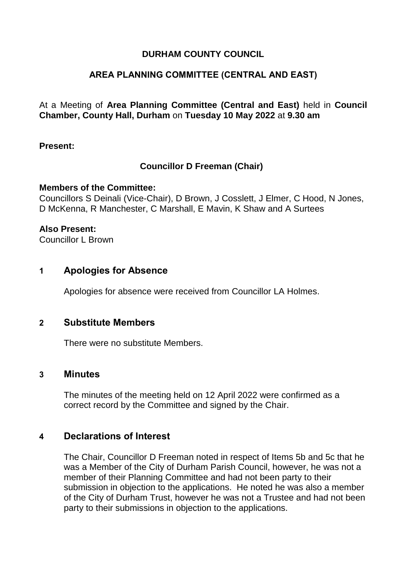### **DURHAM COUNTY COUNCIL**

### **AREA PLANNING COMMITTEE (CENTRAL AND EAST)**

At a Meeting of **Area Planning Committee (Central and East)** held in **Council Chamber, County Hall, Durham** on **Tuesday 10 May 2022** at **9.30 am**

**Present:**

### **Councillor D Freeman (Chair)**

#### **Members of the Committee:**

Councillors S Deinali (Vice-Chair), D Brown, J Cosslett, J Elmer, C Hood, N Jones, D McKenna, R Manchester, C Marshall, E Mavin, K Shaw and A Surtees

#### **Also Present:**

Councillor L Brown

### **1 Apologies for Absence**

Apologies for absence were received from Councillor LA Holmes.

### **2 Substitute Members**

There were no substitute Members.

### **3 Minutes**

The minutes of the meeting held on 12 April 2022 were confirmed as a correct record by the Committee and signed by the Chair.

### **4 Declarations of Interest**

The Chair, Councillor D Freeman noted in respect of Items 5b and 5c that he was a Member of the City of Durham Parish Council, however, he was not a member of their Planning Committee and had not been party to their submission in objection to the applications. He noted he was also a member of the City of Durham Trust, however he was not a Trustee and had not been party to their submissions in objection to the applications.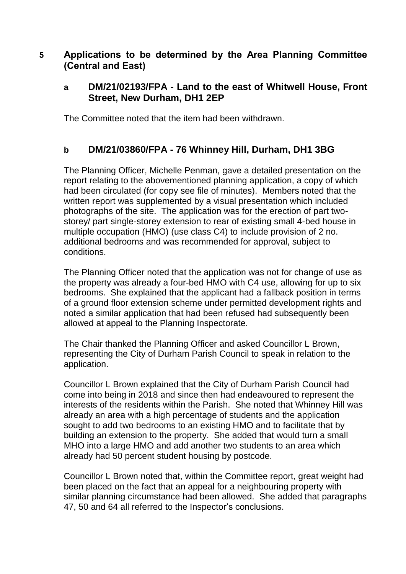# **5 Applications to be determined by the Area Planning Committee (Central and East)**

## **a DM/21/02193/FPA - Land to the east of Whitwell House, Front Street, New Durham, DH1 2EP**

The Committee noted that the item had been withdrawn.

## **b DM/21/03860/FPA - 76 Whinney Hill, Durham, DH1 3BG**

The Planning Officer, Michelle Penman, gave a detailed presentation on the report relating to the abovementioned planning application, a copy of which had been circulated (for copy see file of minutes). Members noted that the written report was supplemented by a visual presentation which included photographs of the site. The application was for the erection of part twostorey/ part single-storey extension to rear of existing small 4-bed house in multiple occupation (HMO) (use class C4) to include provision of 2 no. additional bedrooms and was recommended for approval, subject to conditions.

The Planning Officer noted that the application was not for change of use as the property was already a four-bed HMO with C4 use, allowing for up to six bedrooms. She explained that the applicant had a fallback position in terms of a ground floor extension scheme under permitted development rights and noted a similar application that had been refused had subsequently been allowed at appeal to the Planning Inspectorate.

The Chair thanked the Planning Officer and asked Councillor L Brown, representing the City of Durham Parish Council to speak in relation to the application.

Councillor L Brown explained that the City of Durham Parish Council had come into being in 2018 and since then had endeavoured to represent the interests of the residents within the Parish. She noted that Whinney Hill was already an area with a high percentage of students and the application sought to add two bedrooms to an existing HMO and to facilitate that by building an extension to the property. She added that would turn a small MHO into a large HMO and add another two students to an area which already had 50 percent student housing by postcode.

Councillor L Brown noted that, within the Committee report, great weight had been placed on the fact that an appeal for a neighbouring property with similar planning circumstance had been allowed. She added that paragraphs 47, 50 and 64 all referred to the Inspector's conclusions.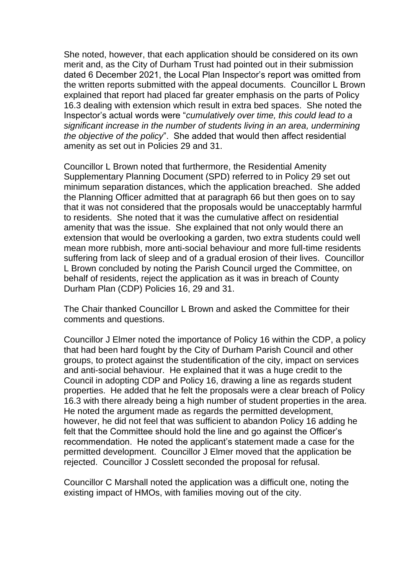She noted, however, that each application should be considered on its own merit and, as the City of Durham Trust had pointed out in their submission dated 6 December 2021, the Local Plan Inspector's report was omitted from the written reports submitted with the appeal documents. Councillor L Brown explained that report had placed far greater emphasis on the parts of Policy 16.3 dealing with extension which result in extra bed spaces. She noted the Inspector's actual words were "*cumulatively over time, this could lead to a significant increase in the number of students living in an area, undermining the objective of the policy*". She added that would then affect residential amenity as set out in Policies 29 and 31.

Councillor L Brown noted that furthermore, the Residential Amenity Supplementary Planning Document (SPD) referred to in Policy 29 set out minimum separation distances, which the application breached. She added the Planning Officer admitted that at paragraph 66 but then goes on to say that it was not considered that the proposals would be unacceptably harmful to residents. She noted that it was the cumulative affect on residential amenity that was the issue. She explained that not only would there an extension that would be overlooking a garden, two extra students could well mean more rubbish, more anti-social behaviour and more full-time residents suffering from lack of sleep and of a gradual erosion of their lives. Councillor L Brown concluded by noting the Parish Council urged the Committee, on behalf of residents, reject the application as it was in breach of County Durham Plan (CDP) Policies 16, 29 and 31.

The Chair thanked Councillor L Brown and asked the Committee for their comments and questions.

Councillor J Elmer noted the importance of Policy 16 within the CDP, a policy that had been hard fought by the City of Durham Parish Council and other groups, to protect against the studentification of the city, impact on services and anti-social behaviour. He explained that it was a huge credit to the Council in adopting CDP and Policy 16, drawing a line as regards student properties. He added that he felt the proposals were a clear breach of Policy 16.3 with there already being a high number of student properties in the area. He noted the argument made as regards the permitted development, however, he did not feel that was sufficient to abandon Policy 16 adding he felt that the Committee should hold the line and go against the Officer's recommendation. He noted the applicant's statement made a case for the permitted development. Councillor J Elmer moved that the application be rejected. Councillor J Cosslett seconded the proposal for refusal.

Councillor C Marshall noted the application was a difficult one, noting the existing impact of HMOs, with families moving out of the city.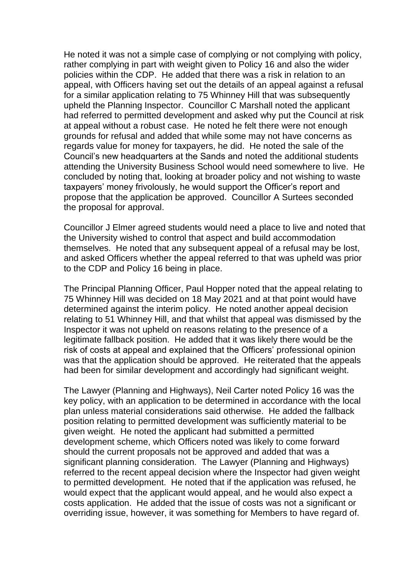He noted it was not a simple case of complying or not complying with policy, rather complying in part with weight given to Policy 16 and also the wider policies within the CDP. He added that there was a risk in relation to an appeal, with Officers having set out the details of an appeal against a refusal for a similar application relating to 75 Whinney Hill that was subsequently upheld the Planning Inspector. Councillor C Marshall noted the applicant had referred to permitted development and asked why put the Council at risk at appeal without a robust case. He noted he felt there were not enough grounds for refusal and added that while some may not have concerns as regards value for money for taxpayers, he did. He noted the sale of the Council's new headquarters at the Sands and noted the additional students attending the University Business School would need somewhere to live. He concluded by noting that, looking at broader policy and not wishing to waste taxpayers' money frivolously, he would support the Officer's report and propose that the application be approved. Councillor A Surtees seconded the proposal for approval.

Councillor J Elmer agreed students would need a place to live and noted that the University wished to control that aspect and build accommodation themselves. He noted that any subsequent appeal of a refusal may be lost, and asked Officers whether the appeal referred to that was upheld was prior to the CDP and Policy 16 being in place.

The Principal Planning Officer, Paul Hopper noted that the appeal relating to 75 Whinney Hill was decided on 18 May 2021 and at that point would have determined against the interim policy. He noted another appeal decision relating to 51 Whinney Hill, and that whilst that appeal was dismissed by the Inspector it was not upheld on reasons relating to the presence of a legitimate fallback position. He added that it was likely there would be the risk of costs at appeal and explained that the Officers' professional opinion was that the application should be approved. He reiterated that the appeals had been for similar development and accordingly had significant weight.

The Lawyer (Planning and Highways), Neil Carter noted Policy 16 was the key policy, with an application to be determined in accordance with the local plan unless material considerations said otherwise. He added the fallback position relating to permitted development was sufficiently material to be given weight. He noted the applicant had submitted a permitted development scheme, which Officers noted was likely to come forward should the current proposals not be approved and added that was a significant planning consideration. The Lawyer (Planning and Highways) referred to the recent appeal decision where the Inspector had given weight to permitted development. He noted that if the application was refused, he would expect that the applicant would appeal, and he would also expect a costs application. He added that the issue of costs was not a significant or overriding issue, however, it was something for Members to have regard of.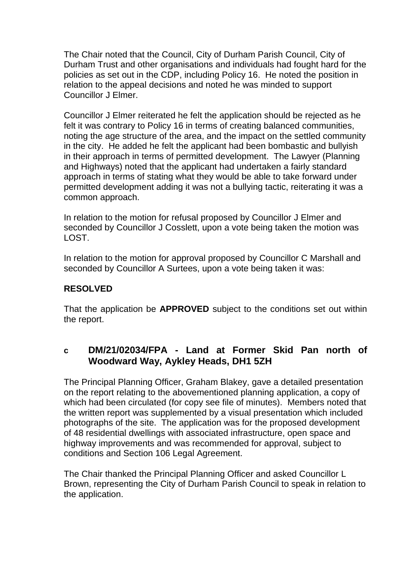The Chair noted that the Council, City of Durham Parish Council, City of Durham Trust and other organisations and individuals had fought hard for the policies as set out in the CDP, including Policy 16. He noted the position in relation to the appeal decisions and noted he was minded to support Councillor J Elmer.

Councillor J Elmer reiterated he felt the application should be rejected as he felt it was contrary to Policy 16 in terms of creating balanced communities, noting the age structure of the area, and the impact on the settled community in the city. He added he felt the applicant had been bombastic and bullyish in their approach in terms of permitted development. The Lawyer (Planning and Highways) noted that the applicant had undertaken a fairly standard approach in terms of stating what they would be able to take forward under permitted development adding it was not a bullying tactic, reiterating it was a common approach.

In relation to the motion for refusal proposed by Councillor J Elmer and seconded by Councillor J Cosslett, upon a vote being taken the motion was LOST.

In relation to the motion for approval proposed by Councillor C Marshall and seconded by Councillor A Surtees, upon a vote being taken it was:

## **RESOLVED**

That the application be **APPROVED** subject to the conditions set out within the report.

### **c DM/21/02034/FPA - Land at Former Skid Pan north of Woodward Way, Aykley Heads, DH1 5ZH**

The Principal Planning Officer, Graham Blakey, gave a detailed presentation on the report relating to the abovementioned planning application, a copy of which had been circulated (for copy see file of minutes). Members noted that the written report was supplemented by a visual presentation which included photographs of the site. The application was for the proposed development of 48 residential dwellings with associated infrastructure, open space and highway improvements and was recommended for approval, subject to conditions and Section 106 Legal Agreement.

The Chair thanked the Principal Planning Officer and asked Councillor L Brown, representing the City of Durham Parish Council to speak in relation to the application.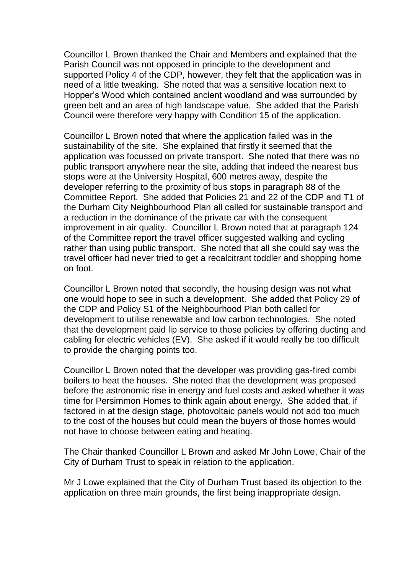Councillor L Brown thanked the Chair and Members and explained that the Parish Council was not opposed in principle to the development and supported Policy 4 of the CDP, however, they felt that the application was in need of a little tweaking. She noted that was a sensitive location next to Hopper's Wood which contained ancient woodland and was surrounded by green belt and an area of high landscape value. She added that the Parish Council were therefore very happy with Condition 15 of the application.

Councillor L Brown noted that where the application failed was in the sustainability of the site. She explained that firstly it seemed that the application was focussed on private transport. She noted that there was no public transport anywhere near the site, adding that indeed the nearest bus stops were at the University Hospital, 600 metres away, despite the developer referring to the proximity of bus stops in paragraph 88 of the Committee Report. She added that Policies 21 and 22 of the CDP and T1 of the Durham City Neighbourhood Plan all called for sustainable transport and a reduction in the dominance of the private car with the consequent improvement in air quality. Councillor L Brown noted that at paragraph 124 of the Committee report the travel officer suggested walking and cycling rather than using public transport. She noted that all she could say was the travel officer had never tried to get a recalcitrant toddler and shopping home on foot.

Councillor L Brown noted that secondly, the housing design was not what one would hope to see in such a development. She added that Policy 29 of the CDP and Policy S1 of the Neighbourhood Plan both called for development to utilise renewable and low carbon technologies. She noted that the development paid lip service to those policies by offering ducting and cabling for electric vehicles (EV). She asked if it would really be too difficult to provide the charging points too.

Councillor L Brown noted that the developer was providing gas-fired combi boilers to heat the houses. She noted that the development was proposed before the astronomic rise in energy and fuel costs and asked whether it was time for Persimmon Homes to think again about energy. She added that, if factored in at the design stage, photovoltaic panels would not add too much to the cost of the houses but could mean the buyers of those homes would not have to choose between eating and heating.

The Chair thanked Councillor L Brown and asked Mr John Lowe, Chair of the City of Durham Trust to speak in relation to the application.

Mr J Lowe explained that the City of Durham Trust based its objection to the application on three main grounds, the first being inappropriate design.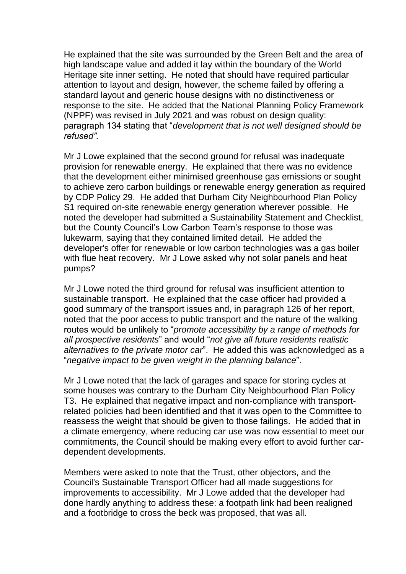He explained that the site was surrounded by the Green Belt and the area of high landscape value and added it lay within the boundary of the World Heritage site inner setting. He noted that should have required particular attention to layout and design, however, the scheme failed by offering a standard layout and generic house designs with no distinctiveness or response to the site. He added that the National Planning Policy Framework (NPPF) was revised in July 2021 and was robust on design quality: paragraph 134 stating that "*development that is not well designed should be refused".*

Mr J Lowe explained that the second ground for refusal was inadequate provision for renewable energy. He explained that there was no evidence that the development either minimised greenhouse gas emissions or sought to achieve zero carbon buildings or renewable energy generation as required by CDP Policy 29. He added that Durham City Neighbourhood Plan Policy S1 required on-site renewable energy generation wherever possible. He noted the developer had submitted a Sustainability Statement and Checklist, but the County Council's Low Carbon Team's response to those was lukewarm, saying that they contained limited detail. He added the developer's offer for renewable or low carbon technologies was a gas boiler with flue heat recovery. Mr J Lowe asked why not solar panels and heat pumps?

Mr J Lowe noted the third ground for refusal was insufficient attention to sustainable transport. He explained that the case officer had provided a good summary of the transport issues and, in paragraph 126 of her report, noted that the poor access to public transport and the nature of the walking routes would be unlikely to "*promote accessibility by a range of methods for all prospective residents*" and would "*not give all future residents realistic alternatives to the private motor car*". He added this was acknowledged as a "*negative impact to be given weight in the planning balance*".

Mr J Lowe noted that the lack of garages and space for storing cycles at some houses was contrary to the Durham City Neighbourhood Plan Policy T3. He explained that negative impact and non-compliance with transportrelated policies had been identified and that it was open to the Committee to reassess the weight that should be given to those failings. He added that in a climate emergency, where reducing car use was now essential to meet our commitments, the Council should be making every effort to avoid further cardependent developments.

Members were asked to note that the Trust, other objectors, and the Council's Sustainable Transport Officer had all made suggestions for improvements to accessibility. Mr J Lowe added that the developer had done hardly anything to address these: a footpath link had been realigned and a footbridge to cross the beck was proposed, that was all.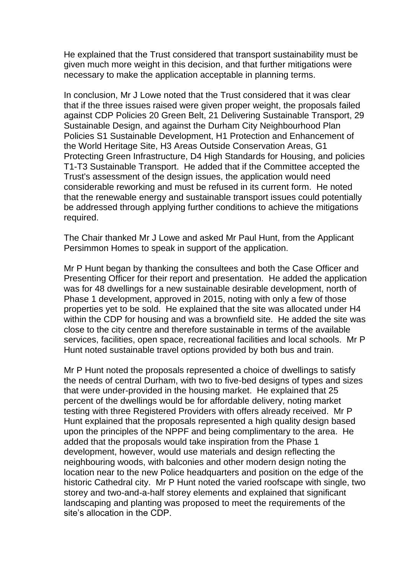He explained that the Trust considered that transport sustainability must be given much more weight in this decision, and that further mitigations were necessary to make the application acceptable in planning terms.

In conclusion, Mr J Lowe noted that the Trust considered that it was clear that if the three issues raised were given proper weight, the proposals failed against CDP Policies 20 Green Belt, 21 Delivering Sustainable Transport, 29 Sustainable Design, and against the Durham City Neighbourhood Plan Policies S1 Sustainable Development, H1 Protection and Enhancement of the World Heritage Site, H3 Areas Outside Conservation Areas, G1 Protecting Green Infrastructure, D4 High Standards for Housing, and policies T1-T3 Sustainable Transport. He added that if the Committee accepted the Trust's assessment of the design issues, the application would need considerable reworking and must be refused in its current form. He noted that the renewable energy and sustainable transport issues could potentially be addressed through applying further conditions to achieve the mitigations required.

The Chair thanked Mr J Lowe and asked Mr Paul Hunt, from the Applicant Persimmon Homes to speak in support of the application.

Mr P Hunt began by thanking the consultees and both the Case Officer and Presenting Officer for their report and presentation. He added the application was for 48 dwellings for a new sustainable desirable development, north of Phase 1 development, approved in 2015, noting with only a few of those properties yet to be sold. He explained that the site was allocated under H4 within the CDP for housing and was a brownfield site. He added the site was close to the city centre and therefore sustainable in terms of the available services, facilities, open space, recreational facilities and local schools. Mr P Hunt noted sustainable travel options provided by both bus and train.

Mr P Hunt noted the proposals represented a choice of dwellings to satisfy the needs of central Durham, with two to five-bed designs of types and sizes that were under-provided in the housing market. He explained that 25 percent of the dwellings would be for affordable delivery, noting market testing with three Registered Providers with offers already received. Mr P Hunt explained that the proposals represented a high quality design based upon the principles of the NPPF and being complimentary to the area. He added that the proposals would take inspiration from the Phase 1 development, however, would use materials and design reflecting the neighbouring woods, with balconies and other modern design noting the location near to the new Police headquarters and position on the edge of the historic Cathedral city. Mr P Hunt noted the varied roofscape with single, two storey and two-and-a-half storey elements and explained that significant landscaping and planting was proposed to meet the requirements of the site's allocation in the CDP.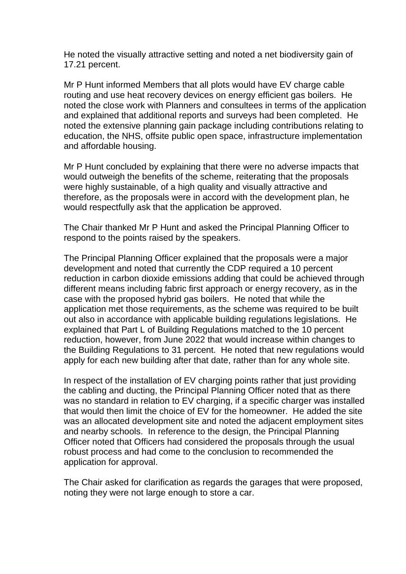He noted the visually attractive setting and noted a net biodiversity gain of 17.21 percent.

Mr P Hunt informed Members that all plots would have EV charge cable routing and use heat recovery devices on energy efficient gas boilers. He noted the close work with Planners and consultees in terms of the application and explained that additional reports and surveys had been completed. He noted the extensive planning gain package including contributions relating to education, the NHS, offsite public open space, infrastructure implementation and affordable housing.

Mr P Hunt concluded by explaining that there were no adverse impacts that would outweigh the benefits of the scheme, reiterating that the proposals were highly sustainable, of a high quality and visually attractive and therefore, as the proposals were in accord with the development plan, he would respectfully ask that the application be approved.

The Chair thanked Mr P Hunt and asked the Principal Planning Officer to respond to the points raised by the speakers.

The Principal Planning Officer explained that the proposals were a major development and noted that currently the CDP required a 10 percent reduction in carbon dioxide emissions adding that could be achieved through different means including fabric first approach or energy recovery, as in the case with the proposed hybrid gas boilers. He noted that while the application met those requirements, as the scheme was required to be built out also in accordance with applicable building regulations legislations. He explained that Part L of Building Regulations matched to the 10 percent reduction, however, from June 2022 that would increase within changes to the Building Regulations to 31 percent. He noted that new regulations would apply for each new building after that date, rather than for any whole site.

In respect of the installation of EV charging points rather that just providing the cabling and ducting, the Principal Planning Officer noted that as there was no standard in relation to EV charging, if a specific charger was installed that would then limit the choice of EV for the homeowner. He added the site was an allocated development site and noted the adjacent employment sites and nearby schools. In reference to the design, the Principal Planning Officer noted that Officers had considered the proposals through the usual robust process and had come to the conclusion to recommended the application for approval.

The Chair asked for clarification as regards the garages that were proposed, noting they were not large enough to store a car.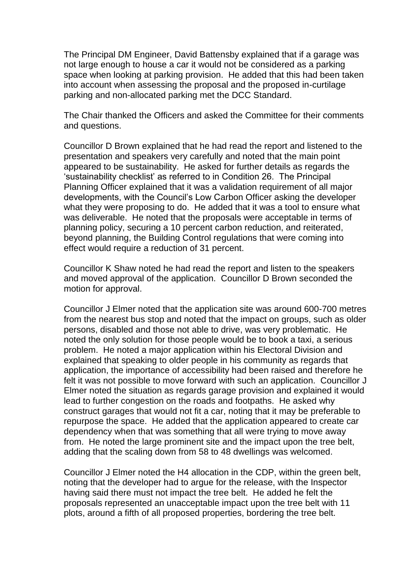The Principal DM Engineer, David Battensby explained that if a garage was not large enough to house a car it would not be considered as a parking space when looking at parking provision. He added that this had been taken into account when assessing the proposal and the proposed in-curtilage parking and non-allocated parking met the DCC Standard.

The Chair thanked the Officers and asked the Committee for their comments and questions.

Councillor D Brown explained that he had read the report and listened to the presentation and speakers very carefully and noted that the main point appeared to be sustainability. He asked for further details as regards the 'sustainability checklist' as referred to in Condition 26. The Principal Planning Officer explained that it was a validation requirement of all major developments, with the Council's Low Carbon Officer asking the developer what they were proposing to do. He added that it was a tool to ensure what was deliverable. He noted that the proposals were acceptable in terms of planning policy, securing a 10 percent carbon reduction, and reiterated, beyond planning, the Building Control regulations that were coming into effect would require a reduction of 31 percent.

Councillor K Shaw noted he had read the report and listen to the speakers and moved approval of the application. Councillor D Brown seconded the motion for approval.

Councillor J Elmer noted that the application site was around 600-700 metres from the nearest bus stop and noted that the impact on groups, such as older persons, disabled and those not able to drive, was very problematic. He noted the only solution for those people would be to book a taxi, a serious problem. He noted a major application within his Electoral Division and explained that speaking to older people in his community as regards that application, the importance of accessibility had been raised and therefore he felt it was not possible to move forward with such an application. Councillor J Elmer noted the situation as regards garage provision and explained it would lead to further congestion on the roads and footpaths. He asked why construct garages that would not fit a car, noting that it may be preferable to repurpose the space. He added that the application appeared to create car dependency when that was something that all were trying to move away from. He noted the large prominent site and the impact upon the tree belt, adding that the scaling down from 58 to 48 dwellings was welcomed.

Councillor J Elmer noted the H4 allocation in the CDP, within the green belt, noting that the developer had to argue for the release, with the Inspector having said there must not impact the tree belt. He added he felt the proposals represented an unacceptable impact upon the tree belt with 11 plots, around a fifth of all proposed properties, bordering the tree belt.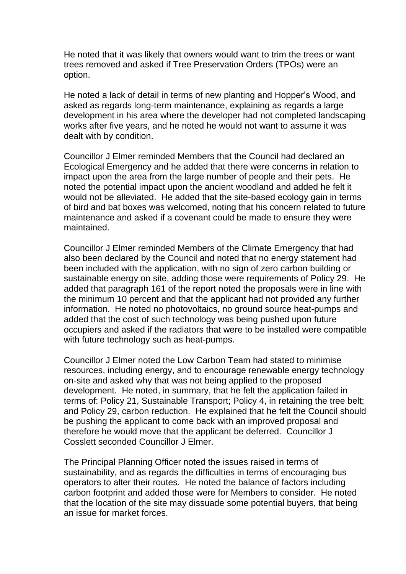He noted that it was likely that owners would want to trim the trees or want trees removed and asked if Tree Preservation Orders (TPOs) were an option.

He noted a lack of detail in terms of new planting and Hopper's Wood, and asked as regards long-term maintenance, explaining as regards a large development in his area where the developer had not completed landscaping works after five years, and he noted he would not want to assume it was dealt with by condition.

Councillor J Elmer reminded Members that the Council had declared an Ecological Emergency and he added that there were concerns in relation to impact upon the area from the large number of people and their pets. He noted the potential impact upon the ancient woodland and added he felt it would not be alleviated. He added that the site-based ecology gain in terms of bird and bat boxes was welcomed, noting that his concern related to future maintenance and asked if a covenant could be made to ensure they were maintained.

Councillor J Elmer reminded Members of the Climate Emergency that had also been declared by the Council and noted that no energy statement had been included with the application, with no sign of zero carbon building or sustainable energy on site, adding those were requirements of Policy 29. He added that paragraph 161 of the report noted the proposals were in line with the minimum 10 percent and that the applicant had not provided any further information. He noted no photovoltaics, no ground source heat-pumps and added that the cost of such technology was being pushed upon future occupiers and asked if the radiators that were to be installed were compatible with future technology such as heat-pumps.

Councillor J Elmer noted the Low Carbon Team had stated to minimise resources, including energy, and to encourage renewable energy technology on-site and asked why that was not being applied to the proposed development. He noted, in summary, that he felt the application failed in terms of: Policy 21, Sustainable Transport; Policy 4, in retaining the tree belt; and Policy 29, carbon reduction. He explained that he felt the Council should be pushing the applicant to come back with an improved proposal and therefore he would move that the applicant be deferred. Councillor J Cosslett seconded Councillor J Elmer.

The Principal Planning Officer noted the issues raised in terms of sustainability, and as regards the difficulties in terms of encouraging bus operators to alter their routes. He noted the balance of factors including carbon footprint and added those were for Members to consider. He noted that the location of the site may dissuade some potential buyers, that being an issue for market forces.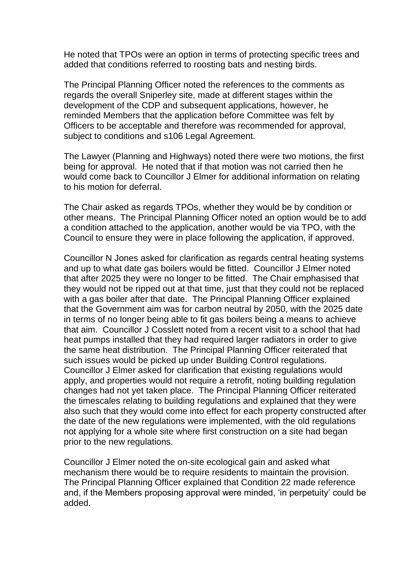He noted that TPOs were an option in terms of protecting specific trees and added that conditions referred to roosting bats and nesting birds.

The Principal Planning Officer noted the references to the comments as regards the overall Sniperley site, made at different stages within the development of the CDP and subsequent applications, however, he reminded Members that the application before Committee was felt by Officers to be acceptable and therefore was recommended for approval, subject to conditions and s106 Legal Agreement.

The Lawyer (Planning and Highways) noted there were two motions, the first being for approval. He noted that if that motion was not carried then he would come back to Councillor J Elmer for additional information on relating to his motion for deferral.

The Chair asked as regards TPOs, whether they would be by condition or other means. The Principal Planning Officer noted an option would be to add a condition attached to the application, another would be via TPO, with the Council to ensure they were in place following the application, if approved.

Councillor N Jones asked for clarification as regards central heating systems and up to what date gas boilers would be fitted. Councillor J Elmer noted that after 2025 they were no longer to be fitted. The Chair emphasised that they would not be ripped out at that time, just that they could not be replaced with a gas boiler after that date. The Principal Planning Officer explained that the Government aim was for carbon neutral by 2050, with the 2025 date in terms of no longer being able to fit gas boilers being a means to achieve that aim. Councillor J Cosslett noted from a recent visit to a school that had heat pumps installed that they had required larger radiators in order to give the same heat distribution. The Principal Planning Officer reiterated that such issues would be picked up under Building Control regulations. Councillor J Elmer asked for clarification that existing regulations would apply, and properties would not require a retrofit, noting building regulation changes had not yet taken place. The Principal Planning Officer reiterated the timescales relating to building regulations and explained that they were also such that they would come into effect for each property constructed after the date of the new regulations were implemented, with the old regulations not applying for a whole site where first construction on a site had began prior to the new regulations.

Councillor J Elmer noted the on-site ecological gain and asked what mechanism there would be to require residents to maintain the provision. The Principal Planning Officer explained that Condition 22 made reference and, if the Members proposing approval were minded, 'in perpetuity' could be added.